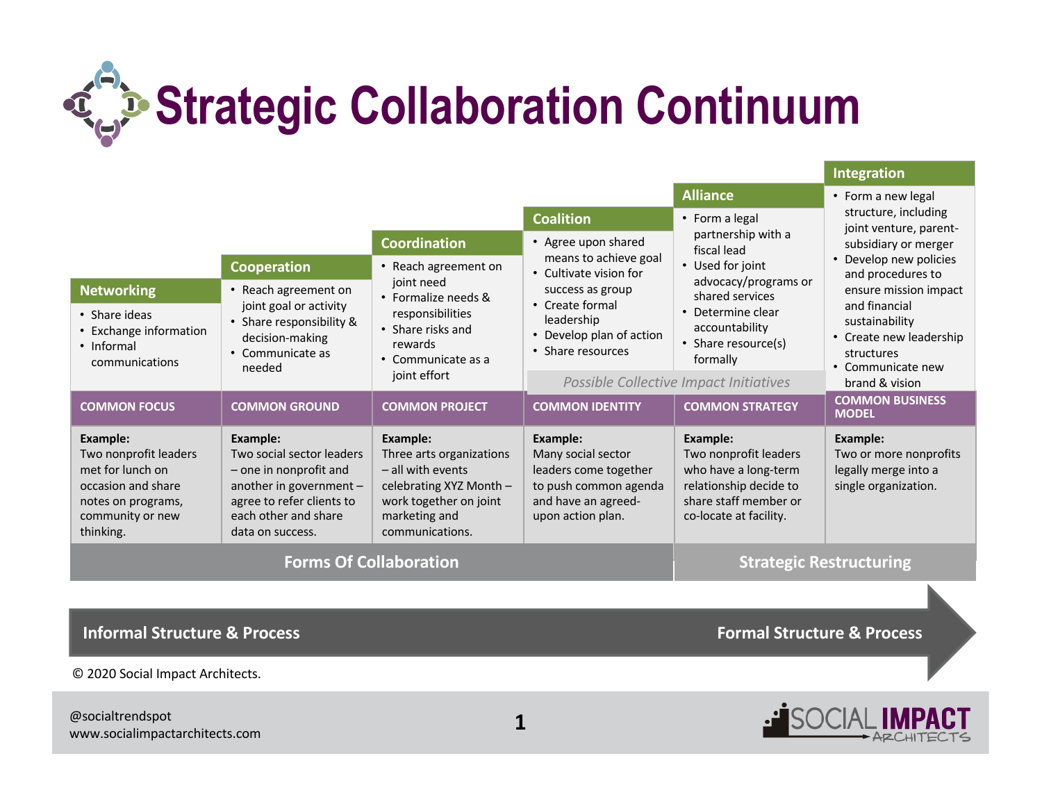

|                                                                                                                                    |                                                                                                                                                                     |                                                                                                                                                     |                                                                                                                                                       | <b>Alliance</b>                                                                                                                        | • Form a new legal                                                                                                                                              |
|------------------------------------------------------------------------------------------------------------------------------------|---------------------------------------------------------------------------------------------------------------------------------------------------------------------|-----------------------------------------------------------------------------------------------------------------------------------------------------|-------------------------------------------------------------------------------------------------------------------------------------------------------|----------------------------------------------------------------------------------------------------------------------------------------|-----------------------------------------------------------------------------------------------------------------------------------------------------------------|
|                                                                                                                                    |                                                                                                                                                                     |                                                                                                                                                     | <b>Coalition</b><br>• Agree upon shared                                                                                                               | • Form a legal<br>partnership with a<br>fiscal lead                                                                                    | structure, including<br>joint venture, parent-<br>subsidiary or merger                                                                                          |
|                                                                                                                                    |                                                                                                                                                                     | <b>Coordination</b>                                                                                                                                 |                                                                                                                                                       |                                                                                                                                        |                                                                                                                                                                 |
|                                                                                                                                    | Cooperation                                                                                                                                                         | • Reach agreement on<br>joint need<br>• Formalize needs &<br>responsibilities<br>• Share risks and<br>rewards<br>• Communicate as a<br>joint effort | means to achieve goal<br>• Cultivate vision for<br>success as group<br>• Create formal<br>leadership<br>• Develop plan of action<br>• Share resources | • Used for joint<br>advocacy/programs or<br>shared services<br>• Determine clear<br>accountability<br>• Share resource(s)<br>formally  | Develop new policies<br>and procedures to<br>ensure mission impact<br>and financial<br>sustainability<br>Create new leadership<br>structures<br>Communicate new |
| <b>Networking</b>                                                                                                                  | • Reach agreement on<br>joint goal or activity<br>• Share responsibility &<br>decision-making<br>• Communicate as<br>needed                                         |                                                                                                                                                     |                                                                                                                                                       |                                                                                                                                        |                                                                                                                                                                 |
| • Share ideas<br>• Exchange information<br>• Informal<br>communications                                                            |                                                                                                                                                                     |                                                                                                                                                     |                                                                                                                                                       |                                                                                                                                        |                                                                                                                                                                 |
|                                                                                                                                    |                                                                                                                                                                     |                                                                                                                                                     | Possible Collective Impact Initiatives                                                                                                                |                                                                                                                                        | brand & vision                                                                                                                                                  |
| <b>COMMON FOCUS</b>                                                                                                                | <b>COMMON GROUND</b>                                                                                                                                                | <b>COMMON PROJECT</b>                                                                                                                               | <b>COMMON IDENTITY</b>                                                                                                                                | <b>COMMON STRATEGY</b>                                                                                                                 | <b>COMMON BUSINESS</b><br><b>MODEL</b>                                                                                                                          |
| Example:<br>Two nonprofit leaders<br>met for lunch on<br>occasion and share<br>notes on programs,<br>community or new<br>thinking. | Example:<br>Two social sector leaders<br>- one in nonprofit and<br>another in government -<br>agree to refer clients to<br>each other and share<br>data on success. | Example:<br>Three arts organizations<br>- all with events<br>celebrating XYZ Month -<br>work together on joint<br>marketing and<br>communications.  | Example:<br>Many social sector<br>leaders come together<br>to push common agenda<br>and have an agreed-<br>upon action plan.                          | Example:<br>Two nonprofit leaders<br>who have a long-term<br>relationship decide to<br>share staff member or<br>co-locate at facility. | <b>Example:</b><br>Two or more nonprofits<br>legally merge into a<br>single organization.                                                                       |
| <b>Forms Of Collaboration</b>                                                                                                      |                                                                                                                                                                     |                                                                                                                                                     |                                                                                                                                                       | <b>Strategic Restructuring</b>                                                                                                         |                                                                                                                                                                 |

**Informal Structure & Process Formal Structure & Process** 

© 2020 Social Impact Architects.

@socialtrendspot www.socialimpactarchitects.com **1**



**Integration**